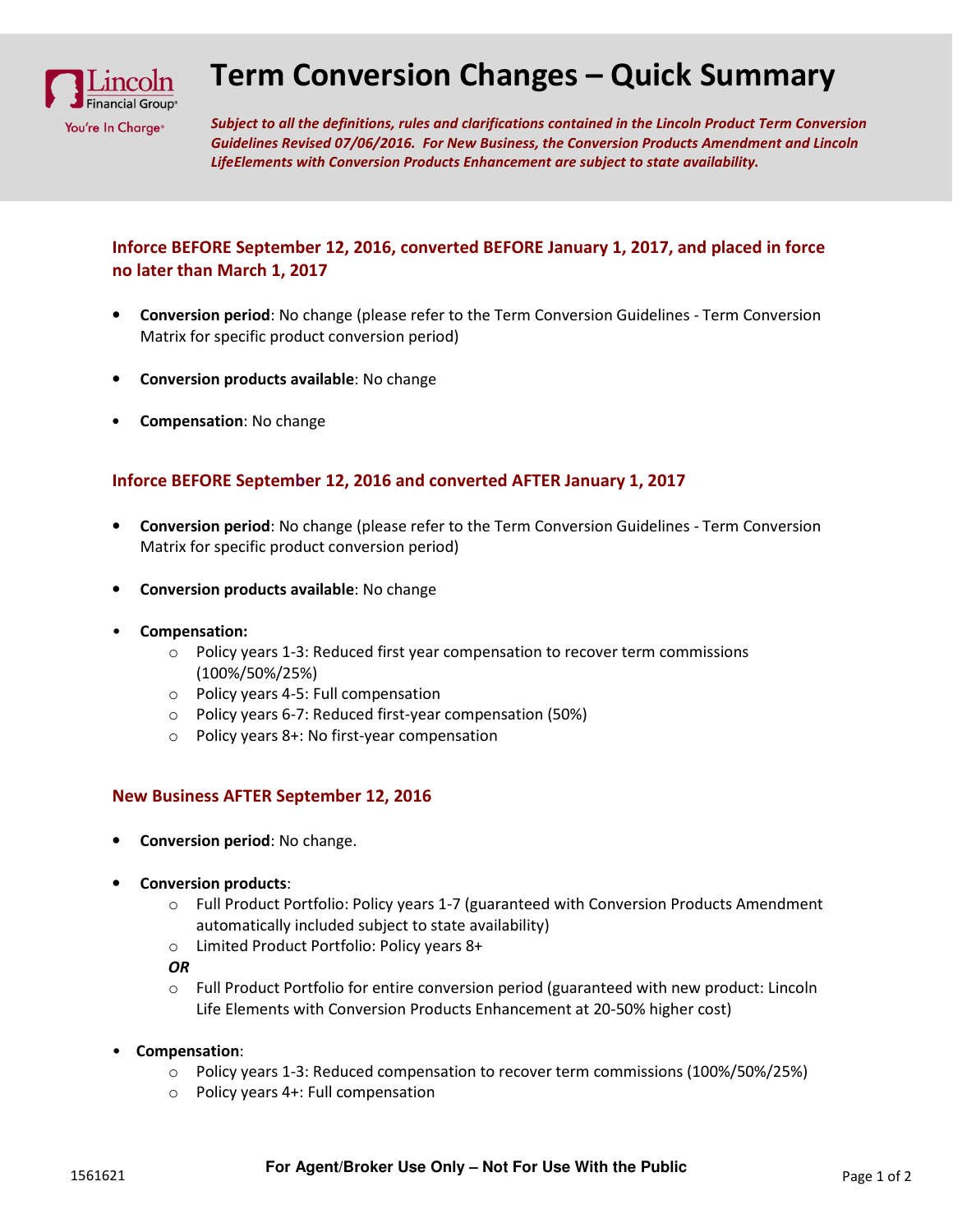

## Term Conversion Changes – Quick Summary

Subject to all the definitions, rules and clarifications contained in the Lincoln Product Term Conversion Guidelines Revised 07/06/2016. For New Business, the Conversion Products Amendment and Lincoln LifeElements with Conversion Products Enhancement are subject to state availability.

## Inforce BEFORE September 12, 2016, converted BEFORE January 1, 2017, and placed in force no later than March 1, 2017

- Conversion period: No change (please refer to the Term Conversion Guidelines Term Conversion Matrix for specific product conversion period)
- Conversion products available: No change
- Compensation: No change

## Inforce BEFORE September 12, 2016 and converted AFTER January 1, 2017

- Conversion period: No change (please refer to the Term Conversion Guidelines Term Conversion Matrix for specific product conversion period)
- Conversion products available: No change
- Compensation:
	- o Policy years 1-3: Reduced first year compensation to recover term commissions (100%/50%/25%)
	- o Policy years 4-5: Full compensation
	- o Policy years 6-7: Reduced first-year compensation (50%)
	- o Policy years 8+: No first-year compensation

## New Business AFTER September 12, 2016

- Conversion period: No change.
- Conversion products:
	- o Full Product Portfolio: Policy years 1-7 (guaranteed with Conversion Products Amendment automatically included subject to state availability)
	- o Limited Product Portfolio: Policy years 8+

OR

- $\circ$  Full Product Portfolio for entire conversion period (guaranteed with new product: Lincoln Life Elements with Conversion Products Enhancement at 20-50% higher cost)
- Compensation:
	- $\circ$  Policy years 1-3: Reduced compensation to recover term commissions (100%/50%/25%)
	- o Policy years 4+: Full compensation